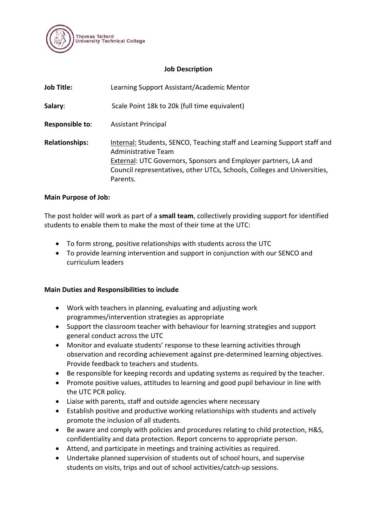

### **Job Description**

| <b>Job Title:</b>     | Learning Support Assistant/Academic Mentor                                                                                                                                                                                                                 |
|-----------------------|------------------------------------------------------------------------------------------------------------------------------------------------------------------------------------------------------------------------------------------------------------|
| Salary:               | Scale Point 18k to 20k (full time equivalent)                                                                                                                                                                                                              |
| Responsible to:       | <b>Assistant Principal</b>                                                                                                                                                                                                                                 |
| <b>Relationships:</b> | Internal: Students, SENCO, Teaching staff and Learning Support staff and<br>Administrative Team<br>External: UTC Governors, Sponsors and Employer partners, LA and<br>Council representatives, other UTCs, Schools, Colleges and Universities,<br>Parents. |

#### **Main Purpose of Job:**

The post holder will work as part of a **small team**, collectively providing support for identified students to enable them to make the most of their time at the UTC:

- To form strong, positive relationships with students across the UTC
- To provide learning intervention and support in conjunction with our SENCO and curriculum leaders

#### **Main Duties and Responsibilities to include**

- Work with teachers in planning, evaluating and adjusting work programmes/intervention strategies as appropriate
- Support the classroom teacher with behaviour for learning strategies and support general conduct across the UTC
- Monitor and evaluate students' response to these learning activities through observation and recording achievement against pre-determined learning objectives. Provide feedback to teachers and students.
- Be responsible for keeping records and updating systems as required by the teacher.
- Promote positive values, attitudes to learning and good pupil behaviour in line with the UTC PCR policy.
- Liaise with parents, staff and outside agencies where necessary
- Establish positive and productive working relationships with students and actively promote the inclusion of all students.
- Be aware and comply with policies and procedures relating to child protection, H&S, confidentiality and data protection. Report concerns to appropriate person.
- Attend, and participate in meetings and training activities as required.
- Undertake planned supervision of students out of school hours, and supervise students on visits, trips and out of school activities/catch-up sessions.